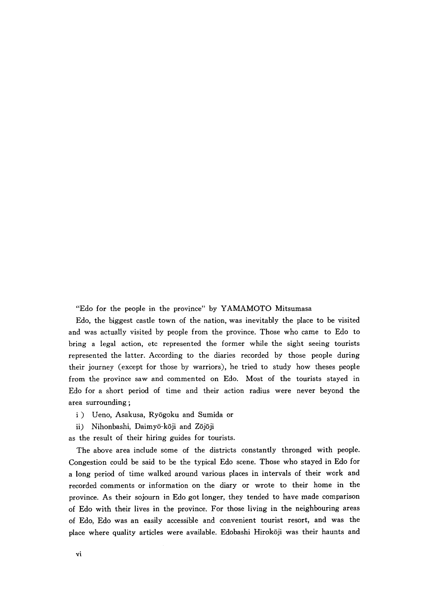"Edo for the people in the province" by YAMAMOTO Mitsumasa

Edo, the biggest castle town of the nation, was inevitably the place to be visited and was actually visited by people from the province. Those who came to Edo to bring a legal action, etc represented the former while the sight seeing tourists represented the latter. According to the diaries recorded by those people during their journey (except for those by warriors), he tried to study how theses people from the province saw and commented on Edo. Most of the tourists stayed in Edo for a short period of time and their action radius were never beyond the area surrounding ;

- i) Ueno, Asakusa, Ryōgoku and Sumida or
- ii) Nihonbashi, Daimyō-kōji and Zōjōji

as the result of their hiring guides for tourists.

The above area include some of the districts constantly thronged with people. Congestion could be said to be the typical Edo scene. Those who stayed in Edo for a long period of time walked around various places in intervals of their work and recorded comments or information on the diary or wrote to their home in the province. As their sojourn in Edo got longer, they tended to have made comparison of Edo with their lives in the province. For those living in the neighbouring areas of Edo, Edo was an easily accessible and convenient tourist resort, and was the <sup>p</sup>lace where quality articles were available. Edobashi Hirokoji was their haunts and